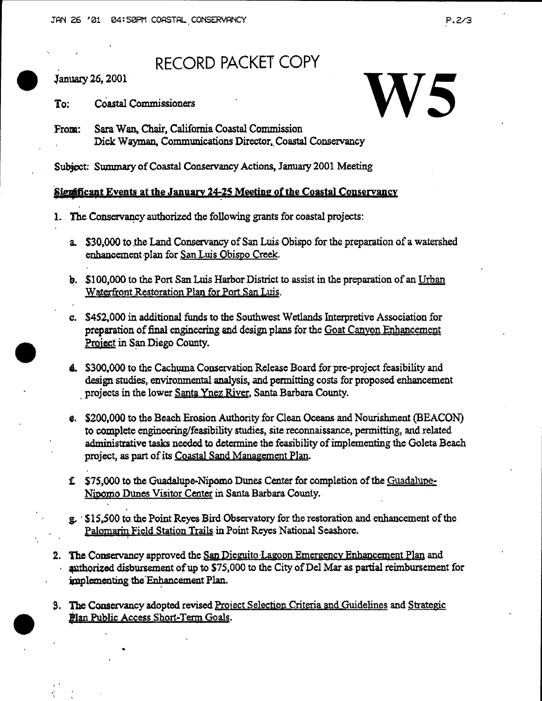## RECORD PACKET COPY

 $\bullet$ January 26, 2001

•

•

' . .. I

RECORD PACKET COPY<br>
To: Coastal Commissioners<br>
From: Sara Wan, Chair, California Coastal Commission From: Sara Wan, Chair, California Coastal Commission Dick Wayman, Communications Director, Coastal Conservancy

Subject: Summary of Coastal Conservancy Actions, January 2001 Meeting

## Significant Events at the January 24-25 Meeting of the Coastal Conservancy

- 1. The Conservancy authorized the following grants for coastal projects:
	- a. \$30,000 to the Land Conservancy of San Luis Obispo for the preparation of a watershed enhancement plan for San Luis Obispo Creek.
	- b. \$100,000 to the Port San Luis Harbor District to assist in the preparation of an Urban Waterfront Restoration Plan for Port San Luis.
	- c. \$452,000 in additional funds to the Southwest Wetlands Interpretive Association for preparation of final engineering and design plans for the Goat Canyon Enhancement Project in San Diego County.
	- 4. \$300,000 to the Cachuma Conservation Release Board for pre-project feasibility and design studies, environmental analysis, and permitting costs for proposed enhancement projects in the lower Santa Ynez River. Santa Barbara County.
	- e. \$200,000 to the Beach Erosion Authority for Clean Oceans and Nourishment (BEACON) to complete engineering/feasibility studies, site reconnaissance, permitting, and related administrative tasks needed to determine the feasibility of implementing the Goleta Beach project, as part of its Coastal Sand Management Plan.
	- f. \$75,000 to the Guadalupe-Nipomo Dunes Center for completion of the Guadalupe-Nipomo Dunes Visitor Center in Santa Barbara County.
	- g. · \$15,500 to. the Point Reyes Bird Obsexvatoxy for the restoration and enhancement of the Palomarin Field Station Trails in Point Reyes National Seashore.
- 2. The Conservancy approved the San Dieguito Lagoon Emergency Enhancement Plan and authorized disbursement of up to \$75,000 to the City of Del Mar as partial reimbursement for implementing the Enhancement Plan.
- 3. The Conservancy adopted revised Project Selection Criteria and Guidelines and Strategic Plan Public Access Short-Term Goals.